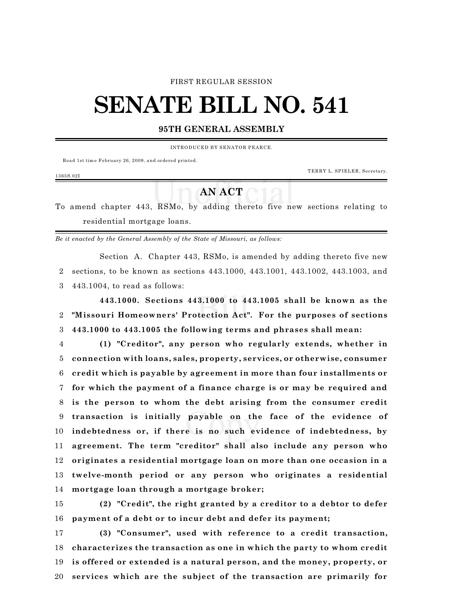#### FIRST REGULAR SESSION

# **SENATE BILL NO. 541**

### **95TH GENERAL ASSEMBLY**

INTRODUCED BY SENATOR PEARCE.

Read 1st tim e February 26, 2009, and ordered printed.

TERRY L. SPIELER, Secretary.

#### 1365S.02I

## **AN ACT**

To amend chapter 443, RSMo, by adding thereto five new sections relating to residential mortgage loans.

*Be it enacted by the General Assembly of the State of Missouri, as follows:*

Section A. Chapter 443, RSMo, is amended by adding thereto five new sections, to be known as sections 443.1000, 443.1001, 443.1002, 443.1003, and 443.1004, to read as follows:

**443.1000. Sections 443.1000 to 443.1005 shall be known as the "Missouri Homeowners' Protection Act". For the purposes of sections 443.1000 to 443.1005 the following terms and phrases shall mean:**

 **(1) "Creditor", any person who regularly extends, whether in connection with loans, sales, property, services, or otherwise, consumer credit which is payable by agreement in more than four installments or for which the payment of a finance charge is or may be required and is the person to whom the debt arising from the consumer credit transaction is initially payable on the face of the evidence of indebtedness or, if there is no such evidence of indebtedness, by agreement. The term "creditor" shall also include any person who originates a residential mortgage loan on more than one occasion in a twelve-month period or any person who originates a residential mortgage loan through a mortgage broker;**

 **(2) "Credit", the right granted by a creditor to a debtor to defer payment of a debt or to incur debt and defer its payment;**

 **(3) "Consumer", used with reference to a credit transaction, characterizes the transaction as one in which the party to whom credit is offered or extended is a natural person, and the money, property, or services which are the subject of the transaction are primarily for**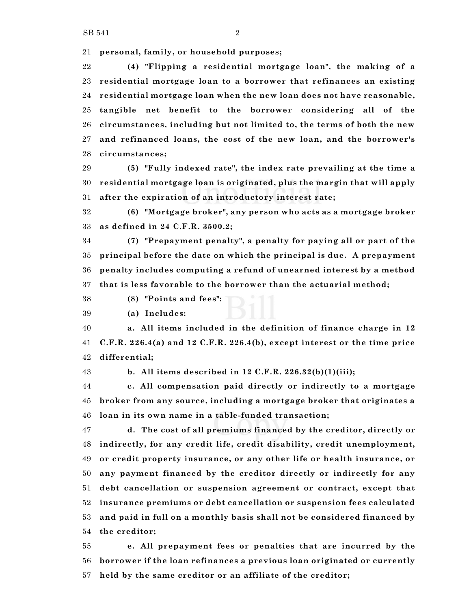**personal, family, or household purposes;**

 **(4) "Flipping a residential mortgage loan", the making of a residential mortgage loan to a borrower that refinances an existing residential mortgage loan when the new loan does not have reasonable, tangible net benefit to the borrower considering all of the circumstances, including but not limited to, the terms of both the new and refinanced loans, the cost of the new loan, and the borrower's circumstances;**

 **(5) "Fully indexed rate", the index rate prevailing at the time a residential mortgage loan is originated, plus the margin that will apply after the expiration of an introductory interest rate;**

 **(6) "Mortgage broker", any person who acts as a mortgage broker as defined in 24 C.F.R. 3500.2;**

 **(7) "Prepayment penalty", a penalty for paying all or part of the principal before the date on which the principal is due. A prepayment penalty includes computing a refund of unearned interest by a method that is less favorable to the borrower than the actuarial method;**

**(8) "Points and fees":**

**(a) Includes:**

 **a. All items included in the definition of finance charge in 12 C.F.R. 226.4(a) and 12 C.F.R. 226.4(b), except interest or the time price differential;**

**b. All items described in 12 C.F.R. 226.32(b)(1)(iii);**

 **c. All compensation paid directly or indirectly to a mortgage broker from any source, including a mortgage broker that originates a loan in its own name in a table-funded transaction;**

 **d. The cost of all premiums financed by the creditor, directly or indirectly, for any credit life, credit disability, credit unemployment, or credit property insurance, or any other life or health insurance, or any payment financed by the creditor directly or indirectly for any debt cancellation or suspension agreement or contract, except that insurance premiums or debt cancellation or suspension fees calculated and paid in full on a monthly basis shall not be considered financed by the creditor;**

 **e. All prepayment fees or penalties that are incurred by the borrower if the loan refinances a previous loan originated or currently held by the same creditor or an affiliate of the creditor;**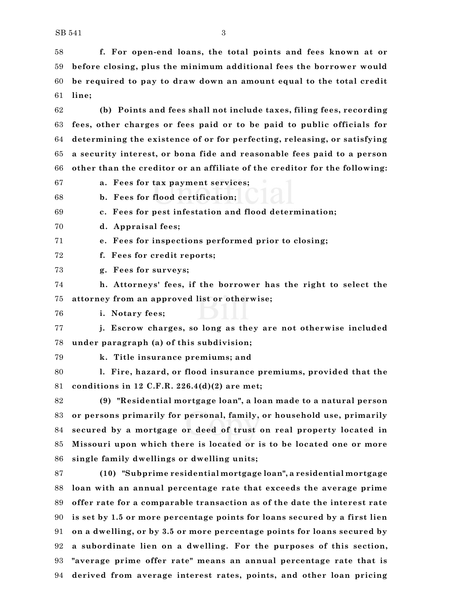**f. For open-end loans, the total points and fees known at or before closing, plus the minimum additional fees the borrower would be required to pay to draw down an amount equal to the total credit line;**

 **(b) Points and fees shall not include taxes, filing fees, recording fees, other charges or fees paid or to be paid to public officials for determining the existence of or for perfecting, releasing, or satisfying a security interest, or bona fide and reasonable fees paid to a person other than the creditor or an affiliate of the creditor for the following:**

**a. Fees for tax payment services;**

**b. Fees for flood certification;**

**c. Fees for pest infestation and flood determination;**

**d. Appraisal fees;**

**e. Fees for inspections performed prior to closing;**

**f. Fees for credit reports;**

**g. Fees for surveys;**

 **h. Attorneys' fees, if the borrower has the right to select the attorney from an approved list or otherwise;**

**i. Notary fees;**

 **j. Escrow charges, so long as they are not otherwise included under paragraph (a) of this subdivision;**

**k. Title insurance premiums; and**

 **l. Fire, hazard, or flood insurance premiums, provided that the conditions in 12 C.F.R. 226.4(d)(2) are met;**

 **(9) "Residential mortgage loan", a loan made to a natural person or persons primarily for personal, family, or household use, primarily secured by a mortgage or deed of trust on real property located in Missouri upon which there is located or is to be located one or more single family dwellings or dwelling units;**

 **(10) "Subprime residential mortgage loan", a residential mortgage loan with an annual percentage rate that exceeds the average prime offer rate for a comparable transaction as of the date the interest rate is set by 1.5 or more percentage points for loans secured by a first lien on a dwelling, or by 3.5 or more percentage points for loans secured by a subordinate lien on a dwelling. For the purposes of this section, "average prime offer rate" means an annual percentage rate that is derived from average interest rates, points, and other loan pricing**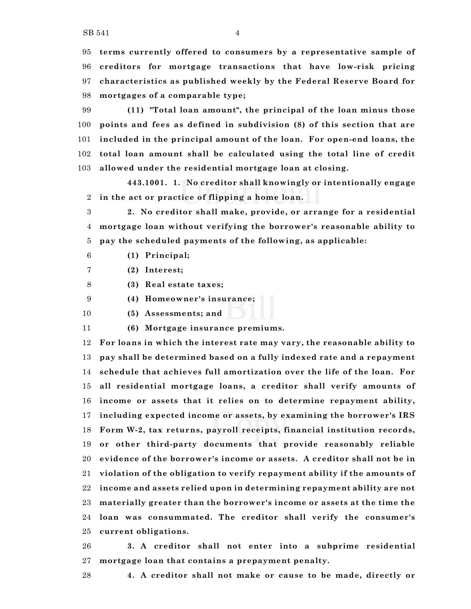$SB 541$  4

 **terms currently offered to consumers by a representative sample of creditors for mortgage transactions that have low-risk pricing**

 **characteristics as published weekly by the Federal Reserve Board for mortgages of a comparable type;**

 **(11) "Total loan amount", the principal of the loan minus those points and fees as defined in subdivision (8) of this section that are included in the principal amount of the loan. For open-end loans, the total loan amount shall be calculated using the total line of credit allowed under the residential mortgage loan at closing.**

**443.1001. 1. No creditor shall knowingly or intentionally engage in the act or practice of flipping a home loan.**

 **2. No creditor shall make, provide, or arrange for a residential mortgage loan without verifying the borrower's reasonable ability to pay the scheduled payments of the following, as applicable:**

**(1) Principal;**

**(2) Interest;**

**(3) Real estate taxes;**

**(4) Homeowner's insurance;**

**(5) Assessments; and**

**(6) Mortgage insurance premiums.**

 **For loans in which the interest rate may vary, the reasonable ability to pay shall be determined based on a fully indexed rate and a repayment schedule that achieves full amortization over the life of the loan. For all residential mortgage loans, a creditor shall verify amounts of income or assets that it relies on to determine repayment ability, including expected income or assets, by examining the borrower's IRS Form W-2, tax returns, payroll receipts, financial institution records, or other third-party documents that provide reasonably reliable evidence of the borrower's income or assets. A creditor shall not be in violation of the obligation to verify repayment ability if the amounts of income and assets relied upon in determining repayment ability are not materially greater than the borrower's income or assets at the time the loan was consummated. The creditor shall verify the consumer's current obligations.**

 **3. A creditor shall not enter into a subprime residential mortgage loan that contains a prepayment penalty.**

**4. A creditor shall not make or cause to be made, directly or**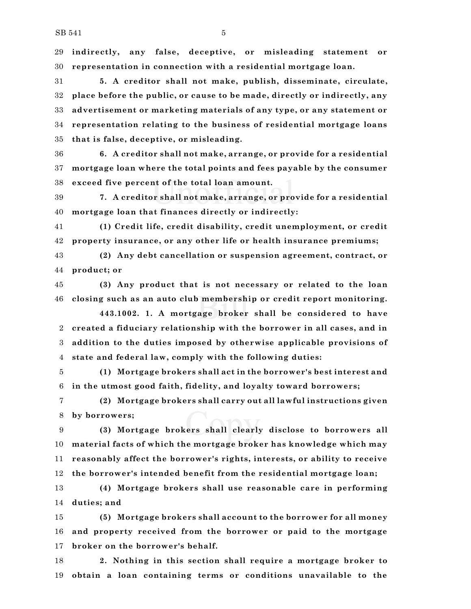**indirectly, any false, deceptive, or misleading statement or representation in connection with a residential mortgage loan.**

 **5. A creditor shall not make, publish, disseminate, circulate, place before the public, or cause to be made, directly or indirectly, any advertisement or marketing materials of any type, or any statement or representation relating to the business of residential mortgage loans that is false, deceptive, or misleading.**

 **6. A creditor shall not make, arrange, or provide for a residential mortgage loan where the total points and fees payable by the consumer exceed five percent of the total loan amount.**

 **7. A creditor shall not make, arrange, or provide for a residential mortgage loan that finances directly or indirectly:**

 **(1) Credit life, credit disability, credit unemployment, or credit property insurance, or any other life or health insurance premiums;**

 **(2) Any debt cancellation or suspension agreement, contract, or product; or**

 **(3) Any product that is not necessary or related to the loan closing such as an auto club membership or credit report monitoring.**

**443.1002. 1. A mortgage broker shall be considered to have created a fiduciary relationship with the borrower in all cases, and in addition to the duties imposed by otherwise applicable provisions of state and federal law, comply with the following duties:**

 **(1) Mortgage brokers shall act in the borrower's best interest and in the utmost good faith, fidelity, and loyalty toward borrowers;**

 **(2) Mortgage brokers shall carry out all lawful instructions given by borrowers;**

 **(3) Mortgage brokers shall clearly disclose to borrowers all material facts of which the mortgage broker has knowledge which may reasonably affect the borrower's rights, interests, or ability to receive the borrower's intended benefit from the residential mortgage loan;**

 **(4) Mortgage brokers shall use reasonable care in performing duties; and**

 **(5) Mortgage brokers shall account to the borrower for all money and property received from the borrower or paid to the mortgage broker on the borrower's behalf.**

 **2. Nothing in this section shall require a mortgage broker to obtain a loan containing terms or conditions unavailable to the**